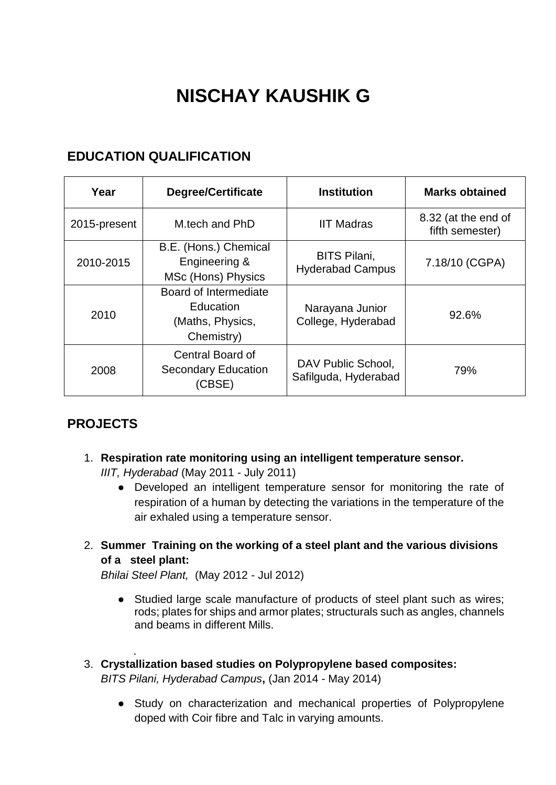# **NISCHAY KAUSHIK G**

## **EDUCATION QUALIFICATION**

| Year         | <b>Degree/Certificate</b>                                            | <b>Institution</b>                             | <b>Marks obtained</b>                  |
|--------------|----------------------------------------------------------------------|------------------------------------------------|----------------------------------------|
| 2015-present | M.tech and PhD                                                       | <b>IIT Madras</b>                              | 8.32 (at the end of<br>fifth semester) |
| 2010-2015    | B.E. (Hons.) Chemical<br>Engineering &<br>MSc (Hons) Physics         | <b>BITS Pilani,</b><br><b>Hyderabad Campus</b> | 7.18/10 (CGPA)                         |
| 2010         | Board of Intermediate<br>Education<br>(Maths, Physics,<br>Chemistry) | Narayana Junior<br>College, Hyderabad          | 92.6%                                  |
| 2008         | Central Board of<br><b>Secondary Education</b><br>(CBSE)             | DAV Public School,<br>Safilguda, Hyderabad     | 79%                                    |

# **PROJECTS**

.

1. **Respiration rate monitoring using an intelligent temperature sensor.**

*IIIT, Hyderabad* (May 2011 - July 2011)

- Developed an intelligent temperature sensor for monitoring the rate of respiration of a human by detecting the variations in the temperature of the air exhaled using a temperature sensor.
- 2. **Summer Training on the working of a steel plant and the various divisions of a steel plant:**

*Bhilai Steel Plant,* (May 2012 - Jul 2012)

- Studied large scale manufacture of products of steel plant such as wires; rods; plates for ships and armor plates; structurals such as angles, channels and beams in different Mills.
- 3. **Crystallization based studies on Polypropylene based composites:**  *BITS Pilani, Hyderabad Campus***,** (Jan 2014 - May 2014)
	- Study on characterization and mechanical properties of Polypropylene doped with Coir fibre and Talc in varying amounts.